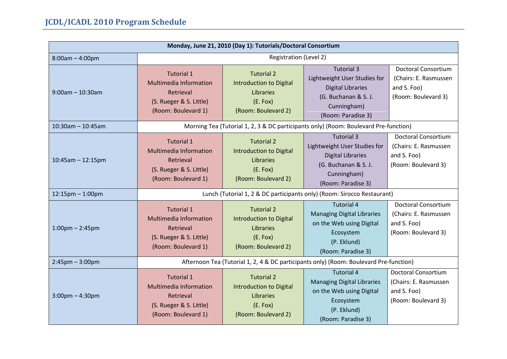| Monday, June 21, 2010 (Day 1): Tutorials/Doctoral Consortium |                                                                                                                   |                                                                                                            |                                                                                                                                            |                                                                                           |  |
|--------------------------------------------------------------|-------------------------------------------------------------------------------------------------------------------|------------------------------------------------------------------------------------------------------------|--------------------------------------------------------------------------------------------------------------------------------------------|-------------------------------------------------------------------------------------------|--|
| $8:00am - 4:00pm$                                            | Registration (Level 2)                                                                                            |                                                                                                            |                                                                                                                                            |                                                                                           |  |
| $9:00$ am - 10:30am                                          | <b>Tutorial 1</b><br><b>Multimedia Information</b><br>Retrieval<br>(S. Rueger & S. Little)<br>(Room: Boulevard 1) | <b>Tutorial 2</b><br><b>Introduction to Digital</b><br>Libraries<br>(E. Fox)<br>(Room: Boulevard 2)        | <b>Tutorial 3</b><br>Lightweight User Studies for<br><b>Digital Libraries</b><br>(G. Buchanan & S. J.<br>Cunningham)<br>(Room: Paradise 3) | <b>Doctoral Consortium</b><br>(Chairs: E. Rasmussen<br>and S. Foo)<br>(Room: Boulevard 3) |  |
| $10:30$ am - 10:45am                                         |                                                                                                                   |                                                                                                            | Morning Tea (Tutorial 1, 2, 3 & DC participants only) (Room: Boulevard Pre-function)                                                       |                                                                                           |  |
| $10:45am - 12:15pm$                                          | <b>Tutorial 1</b><br><b>Multimedia Information</b><br>Retrieval<br>(S. Rueger & S. Little)<br>(Room: Boulevard 1) | <b>Tutorial 2</b><br><b>Introduction to Digital</b><br><b>Libraries</b><br>(E. Fox)<br>(Room: Boulevard 2) | <b>Tutorial 3</b><br>Lightweight User Studies for<br><b>Digital Libraries</b><br>(G. Buchanan & S. J.<br>Cunningham)<br>(Room: Paradise 3) | <b>Doctoral Consortium</b><br>(Chairs: E. Rasmussen<br>and S. Foo)<br>(Room: Boulevard 3) |  |
| $12:15$ pm $- 1:00$ pm                                       | Lunch (Tutorial 1, 2 & DC participants only) (Room: Sirocco Restaurant)                                           |                                                                                                            |                                                                                                                                            |                                                                                           |  |
| $1:00$ pm $- 2:45$ pm                                        | <b>Tutorial 1</b><br><b>Multimedia Information</b><br>Retrieval<br>(S. Rueger & S. Little)<br>(Room: Boulevard 1) | <b>Tutorial 2</b><br><b>Introduction to Digital</b><br>Libraries<br>(E. Fox)<br>(Room: Boulevard 2)        | <b>Tutorial 4</b><br><b>Managing Digital Libraries</b><br>on the Web using Digital<br>Ecosystem<br>(P. Eklund)<br>(Room: Paradise 3)       | <b>Doctoral Consortium</b><br>(Chairs: E. Rasmussen<br>and S. Foo)<br>(Room: Boulevard 3) |  |
| $2:45$ pm $-3:00$ pm                                         | Afternoon Tea (Tutorial 1, 2, 4 & DC participants only) (Room: Boulevard Pre-function)                            |                                                                                                            |                                                                                                                                            |                                                                                           |  |
| $3:00$ pm $-4:30$ pm                                         | <b>Tutorial 1</b><br><b>Multimedia Information</b><br>Retrieval<br>(S. Rueger & S. Little)<br>(Room: Boulevard 1) | <b>Tutorial 2</b><br><b>Introduction to Digital</b><br>Libraries<br>(E. Fox)<br>(Room: Boulevard 2)        | <b>Tutorial 4</b><br><b>Managing Digital Libraries</b><br>on the Web using Digital<br>Ecosystem<br>(P. Eklund)<br>(Room: Paradise 3)       | <b>Doctoral Consortium</b><br>(Chairs: E. Rasmussen<br>and S. Foo)<br>(Room: Boulevard 3) |  |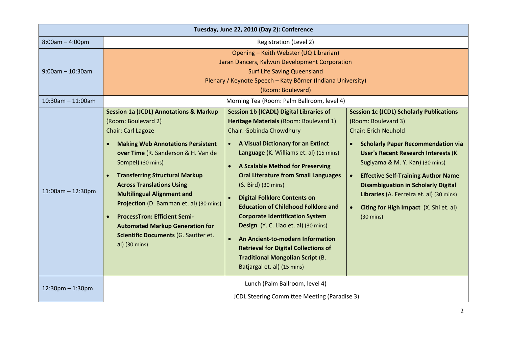| Tuesday, June 22, 2010 (Day 2): Conference |                                                                                                                                                                                                                                                                                                                                                                                                                                                                                                                      |                                                                                                                                                                                                                                                                                                                                                                                                                                                                                                                                                                                                                                                                  |                                                                                                                                                                                                                                                                                                                                                                                                                                                                         |  |
|--------------------------------------------|----------------------------------------------------------------------------------------------------------------------------------------------------------------------------------------------------------------------------------------------------------------------------------------------------------------------------------------------------------------------------------------------------------------------------------------------------------------------------------------------------------------------|------------------------------------------------------------------------------------------------------------------------------------------------------------------------------------------------------------------------------------------------------------------------------------------------------------------------------------------------------------------------------------------------------------------------------------------------------------------------------------------------------------------------------------------------------------------------------------------------------------------------------------------------------------------|-------------------------------------------------------------------------------------------------------------------------------------------------------------------------------------------------------------------------------------------------------------------------------------------------------------------------------------------------------------------------------------------------------------------------------------------------------------------------|--|
| $8:00am - 4:00pm$                          | Registration (Level 2)                                                                                                                                                                                                                                                                                                                                                                                                                                                                                               |                                                                                                                                                                                                                                                                                                                                                                                                                                                                                                                                                                                                                                                                  |                                                                                                                                                                                                                                                                                                                                                                                                                                                                         |  |
| $9:00$ am - 10:30am                        | Opening - Keith Webster (UQ Librarian)<br>Jaran Dancers, Kalwun Development Corporation<br><b>Surf Life Saving Queensland</b><br>Plenary / Keynote Speech - Katy Börner (Indiana University)<br>(Room: Boulevard)                                                                                                                                                                                                                                                                                                    |                                                                                                                                                                                                                                                                                                                                                                                                                                                                                                                                                                                                                                                                  |                                                                                                                                                                                                                                                                                                                                                                                                                                                                         |  |
| $10:30$ am - 11:00am                       |                                                                                                                                                                                                                                                                                                                                                                                                                                                                                                                      | Morning Tea (Room: Palm Ballroom, level 4)                                                                                                                                                                                                                                                                                                                                                                                                                                                                                                                                                                                                                       |                                                                                                                                                                                                                                                                                                                                                                                                                                                                         |  |
| $11:00$ am - $12:30$ pm                    | <b>Session 1a (JCDL) Annotations &amp; Markup</b><br>(Room: Boulevard 2)<br><b>Chair: Carl Lagoze</b><br><b>Making Web Annotations Persistent</b><br>over Time (R. Sanderson & H. Van de<br>Sompel) (30 mins)<br><b>Transferring Structural Markup</b><br><b>Across Translations Using</b><br><b>Multilingual Alignment and</b><br>Projection (D. Bamman et. al) (30 mins)<br><b>ProcessTron: Efficient Semi-</b><br><b>Automated Markup Generation for</b><br>Scientific Documents (G. Sautter et.<br>al) (30 mins) | <b>Session 1b (ICADL) Digital Libraries of</b><br>Heritage Materials (Room: Boulevard 1)<br>Chair: Gobinda Chowdhury<br>A Visual Dictionary for an Extinct<br>Language (K. Williams et. al) (15 mins)<br>A Scalable Method for Preserving<br>$\bullet$<br><b>Oral Literature from Small Languages</b><br>(S. Bird) (30 mins)<br><b>Digital Folklore Contents on</b><br><b>Education of Childhood Folklore and</b><br><b>Corporate Identification System</b><br>Design (Y. C. Liao et. al) (30 mins)<br>An Ancient-to-modern Information<br><b>Retrieval for Digital Collections of</b><br><b>Traditional Mongolian Script (B.</b><br>Batjargal et. al) (15 mins) | <b>Session 1c (JCDL) Scholarly Publications</b><br>(Room: Boulevard 3)<br><b>Chair: Erich Neuhold</b><br><b>Scholarly Paper Recommendation via</b><br><b>User's Recent Research Interests (K.</b><br>Sugiyama & M. Y. Kan) (30 mins)<br><b>Effective Self-Training Author Name</b><br>$\bullet$<br><b>Disambiguation in Scholarly Digital</b><br>Libraries (A. Ferreira et. al) (30 mins)<br>Citing for High Impact (X. Shi et. al)<br>$\bullet$<br>$(30 \text{ mins})$ |  |
| $12:30$ pm $- 1:30$ pm                     |                                                                                                                                                                                                                                                                                                                                                                                                                                                                                                                      | Lunch (Palm Ballroom, level 4)<br>JCDL Steering Committee Meeting (Paradise 3)                                                                                                                                                                                                                                                                                                                                                                                                                                                                                                                                                                                   |                                                                                                                                                                                                                                                                                                                                                                                                                                                                         |  |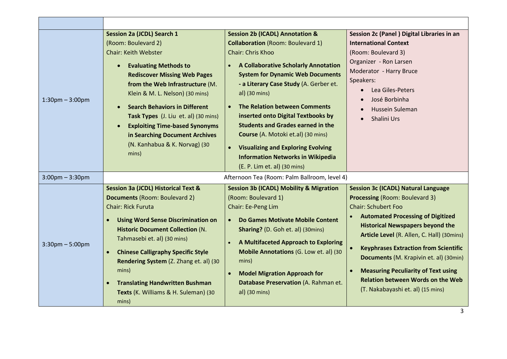| $1:30$ pm $-3:00$ pm  | Session 2a (JCDL) Search 1<br>(Room: Boulevard 2)<br><b>Chair: Keith Webster</b><br><b>Evaluating Methods to</b><br><b>Rediscover Missing Web Pages</b><br>from the Web Infrastructure (M.<br>Klein & M. L. Nelson) (30 mins)<br><b>Search Behaviors in Different</b><br>Task Types (J. Liu et. al) (30 mins)<br><b>Exploiting Time-based Synonyms</b><br>in Searching Document Archives<br>(N. Kanhabua & K. Norvag) (30<br>mins)                 | <b>Session 2b (ICADL) Annotation &amp;</b><br><b>Collaboration</b> (Room: Boulevard 1)<br>Chair: Chris Khoo<br>A Collaborative Scholarly Annotation<br><b>System for Dynamic Web Documents</b><br>- a Literary Case Study (A. Gerber et.<br>al) (30 mins)<br><b>The Relation between Comments</b><br>inserted onto Digital Textbooks by<br><b>Students and Grades earned in the</b><br>Course (A. Motoki et.al) (30 mins)<br><b>Visualizing and Exploring Evolving</b><br><b>Information Networks in Wikipedia</b><br>(E. P. Lim et. al) (30 mins) | Session 2c (Panel) Digital Libraries in an<br><b>International Context</b><br>(Room: Boulevard 3)<br>Organizer - Ron Larsen<br>Moderator - Harry Bruce<br>Speakers:<br>Lea Giles-Peters<br>$\bullet$<br>José Borbinha<br>Hussein Suleman<br>Shalini Urs                                                                                                                                                                                                                                      |
|-----------------------|----------------------------------------------------------------------------------------------------------------------------------------------------------------------------------------------------------------------------------------------------------------------------------------------------------------------------------------------------------------------------------------------------------------------------------------------------|----------------------------------------------------------------------------------------------------------------------------------------------------------------------------------------------------------------------------------------------------------------------------------------------------------------------------------------------------------------------------------------------------------------------------------------------------------------------------------------------------------------------------------------------------|----------------------------------------------------------------------------------------------------------------------------------------------------------------------------------------------------------------------------------------------------------------------------------------------------------------------------------------------------------------------------------------------------------------------------------------------------------------------------------------------|
| $3:00$ pm – $3:30$ pm | Afternoon Tea (Room: Palm Ballroom, level 4)                                                                                                                                                                                                                                                                                                                                                                                                       |                                                                                                                                                                                                                                                                                                                                                                                                                                                                                                                                                    |                                                                                                                                                                                                                                                                                                                                                                                                                                                                                              |
| $3:30$ pm $-5:00$ pm  | <b>Session 3a (JCDL) Historical Text &amp;</b><br><b>Documents (Room: Boulevard 2)</b><br><b>Chair: Rick Furuta</b><br><b>Using Word Sense Discrimination on</b><br>$\bullet$<br><b>Historic Document Collection (N.</b><br>Tahmasebi et. al) (30 mins)<br><b>Chinese Calligraphy Specific Style</b><br>Rendering System (Z. Zhang et. al) (30<br>mins)<br><b>Translating Handwritten Bushman</b><br>Texts (K. Williams & H. Suleman) (30<br>mins) | <b>Session 3b (ICADL) Mobility &amp; Migration</b><br>(Room: Boulevard 1)<br>Chair: Ee-Peng Lim<br>Do Games Motivate Mobile Content<br><b>Sharing?</b> (D. Goh et. al) (30mins)<br>A Multifaceted Approach to Exploring<br>Mobile Annotations (G. Low et. al) (30<br>mins)<br><b>Model Migration Approach for</b><br>Database Preservation (A. Rahman et.<br>al) (30 mins)                                                                                                                                                                         | <b>Session 3c (ICADL) Natural Language</b><br><b>Processing (Room: Boulevard 3)</b><br><b>Chair: Schubert Foo</b><br><b>Automated Processing of Digitized</b><br><b>Historical Newspapers beyond the</b><br>Article Level (R. Allen, C. Hall) (30mins)<br><b>Keyphrases Extraction from Scientific</b><br>$\bullet$<br>Documents (M. Krapivin et. al) (30min)<br><b>Measuring Peculiarity of Text using</b><br><b>Relation between Words on the Web</b><br>(T. Nakabayashi et. al) (15 mins) |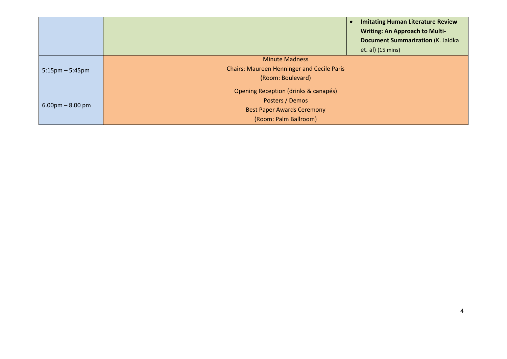|                                   | <b>Imitating Human Literature Review</b><br><b>Writing: An Approach to Multi-</b><br><b>Document Summarization (K. Jaidka</b> |
|-----------------------------------|-------------------------------------------------------------------------------------------------------------------------------|
|                                   | et. al) (15 mins)                                                                                                             |
|                                   | <b>Minute Madness</b>                                                                                                         |
| $5:15 \text{pm} - 5:45 \text{pm}$ | <b>Chairs: Maureen Henninger and Cecile Paris</b>                                                                             |
|                                   | (Room: Boulevard)                                                                                                             |
|                                   | Opening Reception (drinks & canapés)                                                                                          |
| $6.00 \text{pm} - 8.00 \text{pm}$ | Posters / Demos                                                                                                               |
|                                   | <b>Best Paper Awards Ceremony</b>                                                                                             |
|                                   | (Room: Palm Ballroom)                                                                                                         |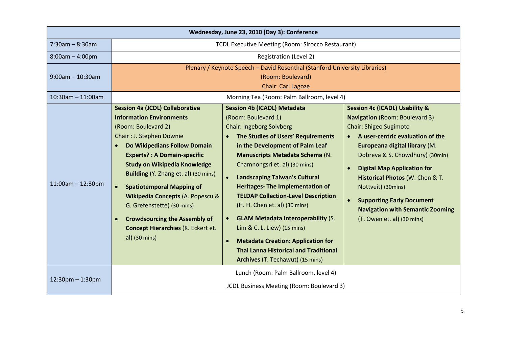| Wednesday, June 23, 2010 (Day 3): Conference |                                                                                                                                                                                                                                                                                                                                                                                                                                                                         |                                                                                                                                                                                                                                                                                                                                                                                                                                                                                                                                                                                                                                  |                                                                                                                                                                                                                                                                                                                                                                                                               |  |
|----------------------------------------------|-------------------------------------------------------------------------------------------------------------------------------------------------------------------------------------------------------------------------------------------------------------------------------------------------------------------------------------------------------------------------------------------------------------------------------------------------------------------------|----------------------------------------------------------------------------------------------------------------------------------------------------------------------------------------------------------------------------------------------------------------------------------------------------------------------------------------------------------------------------------------------------------------------------------------------------------------------------------------------------------------------------------------------------------------------------------------------------------------------------------|---------------------------------------------------------------------------------------------------------------------------------------------------------------------------------------------------------------------------------------------------------------------------------------------------------------------------------------------------------------------------------------------------------------|--|
| $7:30am - 8:30am$                            | TCDL Executive Meeting (Room: Sirocco Restaurant)                                                                                                                                                                                                                                                                                                                                                                                                                       |                                                                                                                                                                                                                                                                                                                                                                                                                                                                                                                                                                                                                                  |                                                                                                                                                                                                                                                                                                                                                                                                               |  |
| $8:00am - 4:00pm$                            |                                                                                                                                                                                                                                                                                                                                                                                                                                                                         | <b>Registration (Level 2)</b>                                                                                                                                                                                                                                                                                                                                                                                                                                                                                                                                                                                                    |                                                                                                                                                                                                                                                                                                                                                                                                               |  |
| $9:00$ am - 10:30am<br>$10:30$ am - 11:00am  | Plenary / Keynote Speech - David Rosenthal (Stanford University Libraries)<br>(Room: Boulevard)<br><b>Chair: Carl Lagoze</b>                                                                                                                                                                                                                                                                                                                                            |                                                                                                                                                                                                                                                                                                                                                                                                                                                                                                                                                                                                                                  |                                                                                                                                                                                                                                                                                                                                                                                                               |  |
|                                              | <b>Session 4a (JCDL) Collaborative</b>                                                                                                                                                                                                                                                                                                                                                                                                                                  | Morning Tea (Room: Palm Ballroom, level 4)<br><b>Session 4b (ICADL) Metadata</b>                                                                                                                                                                                                                                                                                                                                                                                                                                                                                                                                                 | <b>Session 4c (ICADL) Usability &amp;</b>                                                                                                                                                                                                                                                                                                                                                                     |  |
| $11:00$ am - $12:30$ pm                      | <b>Information Environments</b><br>(Room: Boulevard 2)<br>Chair: J. Stephen Downie<br>Do Wikipedians Follow Domain<br><b>Experts?: A Domain-specific</b><br><b>Study on Wikipedia Knowledge</b><br><b>Building</b> (Y. Zhang et. al) (30 mins)<br><b>Spatiotemporal Mapping of</b><br>$\bullet$<br>Wikipedia Concepts (A. Popescu &<br>G. Grefenstette) (30 mins)<br><b>Crowdsourcing the Assembly of</b><br><b>Concept Hierarchies (K. Eckert et.</b><br>al) (30 mins) | (Room: Boulevard 1)<br><b>Chair: Ingeborg Solvberg</b><br>The Studies of Users' Requirements<br>$\bullet$<br>in the Development of Palm Leaf<br><b>Manuscripts Metadata Schema (N.</b><br>Chamnongsri et. al) (30 mins)<br><b>Landscaping Taiwan's Cultural</b><br>$\bullet$<br><b>Heritages- The Implementation of</b><br><b>TELDAP Collection-Level Description</b><br>(H. H. Chen et. al) (30 mins)<br><b>GLAM Metadata Interoperability (S.</b><br>Lim & C. L. Liew) (15 mins)<br><b>Metadata Creation: Application for</b><br>$\bullet$<br><b>Thai Lanna Historical and Traditional</b><br>Archives (T. Techawut) (15 mins) | <b>Navigation</b> (Room: Boulevard 3)<br>Chair: Shigeo Sugimoto<br>A user-centric evaluation of the<br>Europeana digital library (M.<br>Dobreva & S. Chowdhury) (30min)<br><b>Digital Map Application for</b><br>$\bullet$<br>Historical Photos (W. Chen & T.<br>Nottveit) (30mins)<br><b>Supporting Early Document</b><br>$\bullet$<br><b>Navigation with Semantic Zooming</b><br>(T. Owen et. al) (30 mins) |  |
| $12:30$ pm $- 1:30$ pm                       | Lunch (Room: Palm Ballroom, level 4)<br>JCDL Business Meeting (Room: Boulevard 3)                                                                                                                                                                                                                                                                                                                                                                                       |                                                                                                                                                                                                                                                                                                                                                                                                                                                                                                                                                                                                                                  |                                                                                                                                                                                                                                                                                                                                                                                                               |  |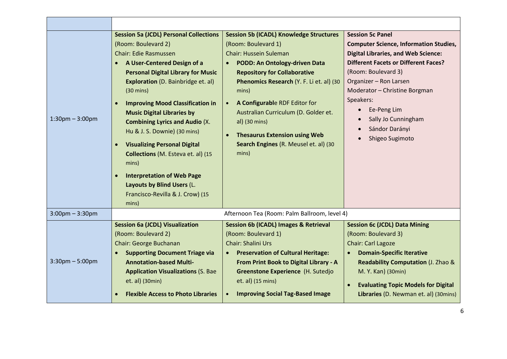| $1:30$ pm $-3:00$ pm | <b>Session 5a (JCDL) Personal Collections</b><br>(Room: Boulevard 2)<br><b>Chair: Edie Rasmussen</b><br>A User-Centered Design of a<br><b>Personal Digital Library for Music</b><br><b>Exploration</b> (D. Bainbridge et. al)<br>$(30 \text{ mins})$<br><b>Improving Mood Classification in</b><br>$\bullet$<br><b>Music Digital Libraries by</b><br><b>Combining Lyrics and Audio (X.</b><br>Hu & J. S. Downie) (30 mins)<br><b>Visualizing Personal Digital</b><br>$\bullet$<br>Collections (M. Esteva et. al) (15<br>mins)<br><b>Interpretation of Web Page</b><br>$\bullet$<br>Layouts by Blind Users (L.<br>Francisco-Revilla & J. Crow) (15<br>mins) | <b>Session 5b (ICADL) Knowledge Structures</b><br>(Room: Boulevard 1)<br><b>Chair: Hussein Suleman</b><br>PODD: An Ontology-driven Data<br>$\bullet$<br><b>Repository for Collaborative</b><br>Phenomics Research (Y. F. Li et. al) (30<br>mins)<br>A Configurable RDF Editor for<br>Australian Curriculum (D. Golder et.<br>al) (30 mins)<br><b>Thesaurus Extension using Web</b><br>$\bullet$<br>Search Engines (R. Meusel et. al) (30<br>mins) | <b>Session 5c Panel</b><br><b>Computer Science, Information Studies,</b><br><b>Digital Libraries, and Web Science:</b><br><b>Different Facets or Different Faces?</b><br>(Room: Boulevard 3)<br>Organizer - Ron Larsen<br>Moderator - Christine Borgman<br>Speakers:<br>Ee-Peng Lim<br>$\bullet$<br>Sally Jo Cunningham<br>$\bullet$<br>Sándor Darányi<br>$\bullet$<br>Shigeo Sugimoto |
|----------------------|------------------------------------------------------------------------------------------------------------------------------------------------------------------------------------------------------------------------------------------------------------------------------------------------------------------------------------------------------------------------------------------------------------------------------------------------------------------------------------------------------------------------------------------------------------------------------------------------------------------------------------------------------------|---------------------------------------------------------------------------------------------------------------------------------------------------------------------------------------------------------------------------------------------------------------------------------------------------------------------------------------------------------------------------------------------------------------------------------------------------|----------------------------------------------------------------------------------------------------------------------------------------------------------------------------------------------------------------------------------------------------------------------------------------------------------------------------------------------------------------------------------------|
| $3:00$ pm $-3:30$ pm |                                                                                                                                                                                                                                                                                                                                                                                                                                                                                                                                                                                                                                                            | Afternoon Tea (Room: Palm Ballroom, level 4)                                                                                                                                                                                                                                                                                                                                                                                                      |                                                                                                                                                                                                                                                                                                                                                                                        |
| $3:30$ pm $-5:00$ pm | <b>Session 6a (JCDL) Visualization</b><br>(Room: Boulevard 2)<br>Chair: George Buchanan<br><b>Supporting Document Triage via</b><br><b>Annotation-based Multi-</b><br><b>Application Visualizations (S. Bae</b><br>et. al) (30min)<br><b>Flexible Access to Photo Libraries</b>                                                                                                                                                                                                                                                                                                                                                                            | <b>Session 6b (ICADL) Images &amp; Retrieval</b><br>(Room: Boulevard 1)<br><b>Chair: Shalini Urs</b><br><b>Preservation of Cultural Heritage:</b><br>$\bullet$ .<br>From Print Book to Digital Library - A<br>Greenstone Experience (H. Sutedjo<br>et. al) (15 mins)<br><b>Improving Social Tag-Based Image</b>                                                                                                                                   | <b>Session 6c (JCDL) Data Mining</b><br>(Room: Boulevard 3)<br>Chair: Carl Lagoze<br><b>Domain-Specific Iterative</b><br>Readability Computation (J. Zhao &<br>M. Y. Kan) (30min)<br><b>Evaluating Topic Models for Digital</b><br>$\bullet$<br>Libraries (D. Newman et. al) (30mins)                                                                                                  |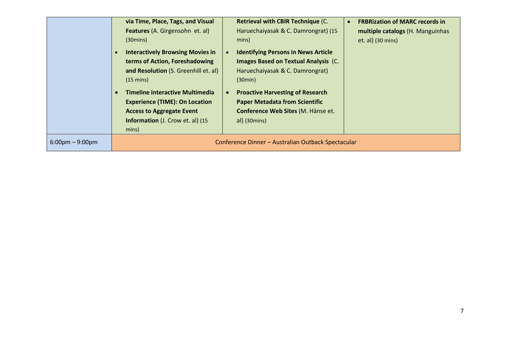|                                   | via Time, Place, Tags, and Visual<br>Features (A. Girgensohn et. al)<br>$(30 \text{mins})$<br><b>Interactively Browsing Movies in</b><br>terms of Action, Foreshadowing<br>and Resolution (S. Greenhill et. al)<br>$(15 \text{ mins})$ | <b>Retrieval with CBIR Technique (C.</b><br>Haruechaiyasak & C. Damrongrat) (15<br>mins)<br><b>Identifying Persons in News Article</b><br><b>Images Based on Textual Analysis (C.</b><br>Haruechaiyasak & C. Damrongrat)<br>(30min) | <b>FRBRization of MARC records in</b><br>multiple catalogs (H. Manguinhas<br>et. al) (30 mins) |
|-----------------------------------|----------------------------------------------------------------------------------------------------------------------------------------------------------------------------------------------------------------------------------------|-------------------------------------------------------------------------------------------------------------------------------------------------------------------------------------------------------------------------------------|------------------------------------------------------------------------------------------------|
|                                   | <b>Timeline Interactive Multimedia</b><br><b>Experience (TIME): On Location</b><br><b>Access to Aggregate Event</b><br><b>Information</b> (J. Crow et. al) (15<br>mins)                                                                | <b>Proactive Harvesting of Research</b><br><b>Paper Metadata from Scientific</b><br>Conference Web Sites (M. Hänse et.<br>al) (30 mins)                                                                                             |                                                                                                |
| $6:00 \text{pm} - 9:00 \text{pm}$ |                                                                                                                                                                                                                                        | Conference Dinner - Australian Outback Spectacular                                                                                                                                                                                  |                                                                                                |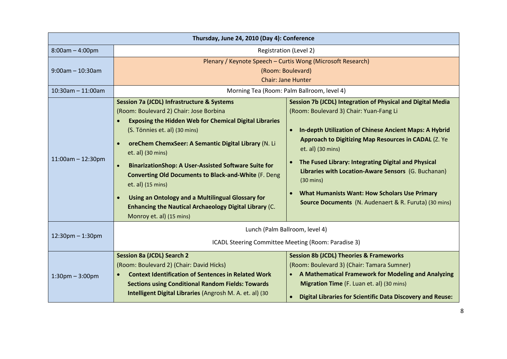| Thursday, June 24, 2010 (Day 4): Conference |                                                                                                                                                                                                                                                                                                                                                                                                                                                                                                                                                                                      |                                                                                                                                                                                                                                                                                                                                                                                                                                                                                                                   |  |  |
|---------------------------------------------|--------------------------------------------------------------------------------------------------------------------------------------------------------------------------------------------------------------------------------------------------------------------------------------------------------------------------------------------------------------------------------------------------------------------------------------------------------------------------------------------------------------------------------------------------------------------------------------|-------------------------------------------------------------------------------------------------------------------------------------------------------------------------------------------------------------------------------------------------------------------------------------------------------------------------------------------------------------------------------------------------------------------------------------------------------------------------------------------------------------------|--|--|
| $8:00am - 4:00pm$                           | Registration (Level 2)                                                                                                                                                                                                                                                                                                                                                                                                                                                                                                                                                               |                                                                                                                                                                                                                                                                                                                                                                                                                                                                                                                   |  |  |
| $9:00$ am - 10:30am                         | Plenary / Keynote Speech - Curtis Wong (Microsoft Research)<br>(Room: Boulevard)<br><b>Chair: Jane Hunter</b>                                                                                                                                                                                                                                                                                                                                                                                                                                                                        |                                                                                                                                                                                                                                                                                                                                                                                                                                                                                                                   |  |  |
| $10:30$ am - 11:00am                        |                                                                                                                                                                                                                                                                                                                                                                                                                                                                                                                                                                                      | Morning Tea (Room: Palm Ballroom, level 4)                                                                                                                                                                                                                                                                                                                                                                                                                                                                        |  |  |
| $11:00$ am - 12:30pm                        | <b>Session 7a (JCDL) Infrastructure &amp; Systems</b><br>(Room: Boulevard 2) Chair: Jose Borbina<br><b>Exposing the Hidden Web for Chemical Digital Libraries</b><br>(S. Tönnies et. al) (30 mins)<br>oreChem ChemxSeer: A Semantic Digital Library (N. Li<br>et. al) (30 mins)<br><b>BinarizationShop: A User-Assisted Software Suite for</b><br><b>Converting Old Documents to Black-and-White (F. Deng</b><br>et. al) (15 mins)<br>Using an Ontology and a Multilingual Glossary for<br><b>Enhancing the Nautical Archaeology Digital Library (C.</b><br>Monroy et. al) (15 mins) | Session 7b (JCDL) Integration of Physical and Digital Media<br>(Room: Boulevard 3) Chair: Yuan-Fang Li<br><b>In-depth Utilization of Chinese Ancient Maps: A Hybrid</b><br>Approach to Digitizing Map Resources in CADAL (Z. Ye<br>et. al) (30 mins)<br>The Fused Library: Integrating Digital and Physical<br>Libraries with Location-Aware Sensors (G. Buchanan)<br>$(30 \text{ mins})$<br><b>What Humanists Want: How Scholars Use Primary</b><br><b>Source Documents</b> (N. Audenaert & R. Furuta) (30 mins) |  |  |
| $12:30$ pm $-1:30$ pm                       | Lunch (Palm Ballroom, level 4)<br>ICADL Steering Committee Meeting (Room: Paradise 3)                                                                                                                                                                                                                                                                                                                                                                                                                                                                                                |                                                                                                                                                                                                                                                                                                                                                                                                                                                                                                                   |  |  |
| $1:30$ pm $-3:00$ pm                        | <b>Session 8a (JCDL) Search 2</b><br>(Room: Boulevard 2) (Chair: David Hicks)<br><b>Context Identification of Sentences in Related Work</b><br><b>Sections using Conditional Random Fields: Towards</b><br>Intelligent Digital Libraries (Angrosh M. A. et. al) (30                                                                                                                                                                                                                                                                                                                  | <b>Session 8b (JCDL) Theories &amp; Frameworks</b><br>(Room: Boulevard 3) (Chair: Tamara Sumner)<br>A Mathematical Framework for Modeling and Analyzing<br>Migration Time (F. Luan et. al) (30 mins)<br><b>Digital Libraries for Scientific Data Discovery and Reuse:</b>                                                                                                                                                                                                                                         |  |  |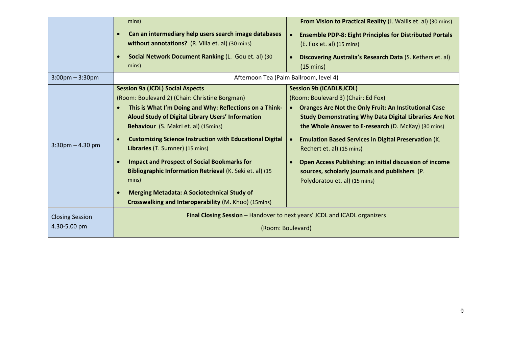|                                        | mins)                                                                                                                                                                                                                                                                                                                                                                                                                                                                                                                                                                                            | From Vision to Practical Reality (J. Wallis et. al) (30 mins)                                                                                                                                                                                                                                                                                                                                                                                                                                                                                             |  |
|----------------------------------------|--------------------------------------------------------------------------------------------------------------------------------------------------------------------------------------------------------------------------------------------------------------------------------------------------------------------------------------------------------------------------------------------------------------------------------------------------------------------------------------------------------------------------------------------------------------------------------------------------|-----------------------------------------------------------------------------------------------------------------------------------------------------------------------------------------------------------------------------------------------------------------------------------------------------------------------------------------------------------------------------------------------------------------------------------------------------------------------------------------------------------------------------------------------------------|--|
|                                        | Can an intermediary help users search image databases<br>$\bullet$<br>without annotations? (R. Villa et. al) (30 mins)<br>Social Network Document Ranking (L. Gou et. al) (30<br>mins)                                                                                                                                                                                                                                                                                                                                                                                                           | <b>Ensemble PDP-8: Eight Principles for Distributed Portals</b><br>$\bullet$<br>(E. Fox et. al) (15 mins)<br>Discovering Australia's Research Data (S. Kethers et. al)<br>$(15 \text{ mins})$                                                                                                                                                                                                                                                                                                                                                             |  |
| $3:00$ pm – $3:30$ pm                  |                                                                                                                                                                                                                                                                                                                                                                                                                                                                                                                                                                                                  | Afternoon Tea (Palm Ballroom, level 4)                                                                                                                                                                                                                                                                                                                                                                                                                                                                                                                    |  |
| $3:30$ pm $- 4.30$ pm                  | <b>Session 9a (JCDL) Social Aspects</b><br>(Room: Boulevard 2) (Chair: Christine Borgman)<br>This is What I'm Doing and Why: Reflections on a Think-<br>Aloud Study of Digital Library Users' Information<br>Behaviour (S. Makri et. al) (15mins)<br><b>Customizing Science Instruction with Educational Digital</b><br>Libraries (T. Sumner) (15 mins)<br><b>Impact and Prospect of Social Bookmarks for</b><br>Bibliographic Information Retrieval (K. Seki et. al) (15<br>mins)<br><b>Merging Metadata: A Sociotechnical Study of</b><br>Crosswalking and Interoperability (M. Khoo) (15mins) | <b>Session 9b (ICADL&amp;JCDL)</b><br>(Room: Boulevard 3) (Chair: Ed Fox)<br><b>Oranges Are Not the Only Fruit: An Institutional Case</b><br>$\bullet$<br><b>Study Demonstrating Why Data Digital Libraries Are Not</b><br>the Whole Answer to E-research (D. McKay) (30 mins)<br><b>Emulation Based Services in Digital Preservation (K.</b><br>$\bullet$<br>Rechert et. al) (15 mins)<br><b>Open Access Publishing: an initial discussion of income</b><br>$\bullet$<br>sources, scholarly journals and publishers (P.<br>Polydoratou et. al) (15 mins) |  |
| <b>Closing Session</b><br>4.30-5.00 pm | Final Closing Session - Handover to next years' JCDL and ICADL organizers<br>(Room: Boulevard)                                                                                                                                                                                                                                                                                                                                                                                                                                                                                                   |                                                                                                                                                                                                                                                                                                                                                                                                                                                                                                                                                           |  |